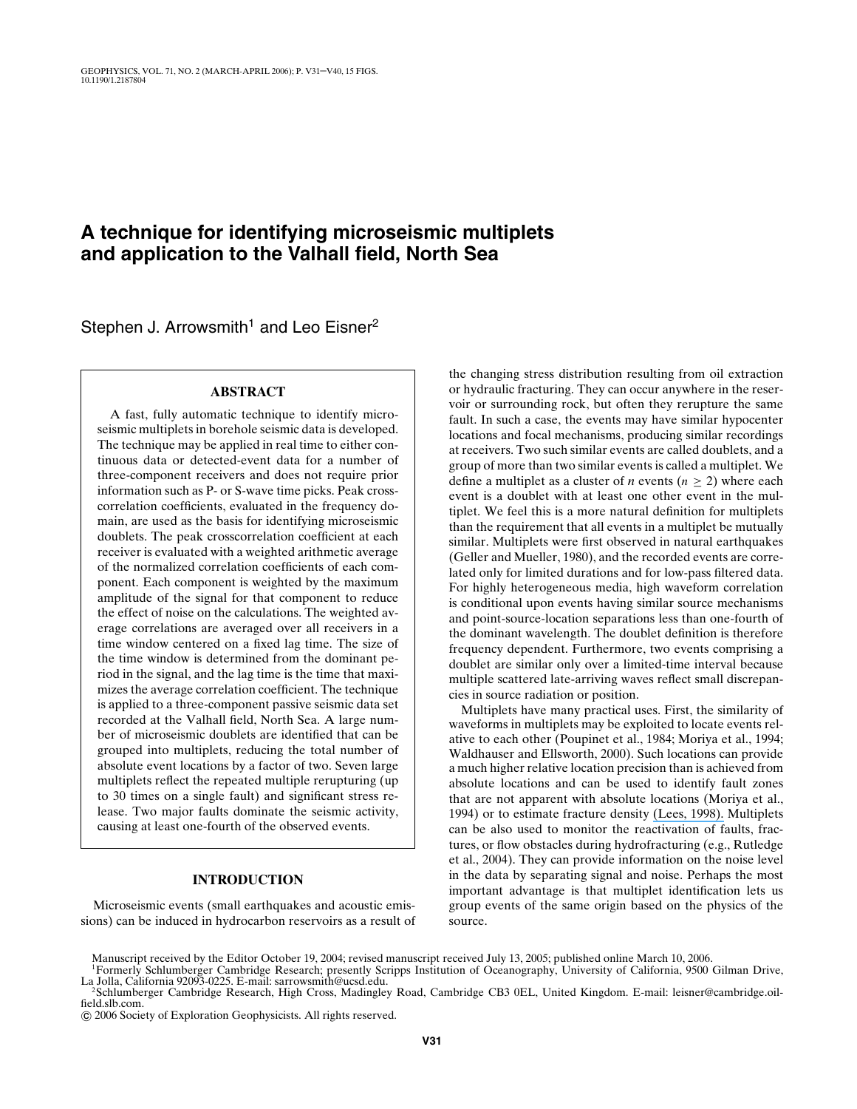# **A technique for identifying microseismic multiplets and application to the Valhall field, North Sea**

Stephen J. Arrowsmith<sup>1</sup> and Leo Eisner<sup>2</sup>

# **ABSTRACT**

A fast, fully automatic technique to identify microseismic multiplets in borehole seismic data is developed. The technique may be applied in real time to either continuous data or detected-event data for a number of three-component receivers and does not require prior information such as P- or S-wave time picks. Peak crosscorrelation coefficients, evaluated in the frequency domain, are used as the basis for identifying microseismic doublets. The peak crosscorrelation coefficient at each receiver is evaluated with a weighted arithmetic average of the normalized correlation coefficients of each component. Each component is weighted by the maximum amplitude of the signal for that component to reduce the effect of noise on the calculations. The weighted average correlations are averaged over all receivers in a time window centered on a fixed lag time. The size of the time window is determined from the dominant period in the signal, and the lag time is the time that maximizes the average correlation coefficient. The technique is applied to a three-component passive seismic data set recorded at the Valhall field, North Sea. A large number of microseismic doublets are identified that can be grouped into multiplets, reducing the total number of absolute event locations by a factor of two. Seven large multiplets reflect the repeated multiple rerupturing (up to 30 times on a single fault) and significant stress release. Two major faults dominate the seismic activity, causing at least one-fourth of the observed events.

### **INTRODUCTION**

Microseismic events (small earthquakes and acoustic emissions) can be induced in hydrocarbon reservoirs as a result of the changing stress distribution resulting from oil extraction or hydraulic fracturing. They can occur anywhere in the reservoir or surrounding rock, but often they rerupture the same fault. In such a case, the events may have similar hypocenter locations and focal mechanisms, producing similar recordings at receivers. Two such similar events are called doublets, and a group of more than two similar events is called a multiplet. We define a multiplet as a cluster of *n* events ( $n \geq 2$ ) where each event is a doublet with at least one other event in the multiplet. We feel this is a more natural definition for multiplets than the requirement that all events in a multiplet be mutually similar. Multiplets were first observed in natural earthquakes (Geller and Mueller, 1980), and the recorded events are correlated only for limited durations and for low-pass filtered data. For highly heterogeneous media, high waveform correlation is conditional upon events having similar source mechanisms and point-source-location separations less than one-fourth of the dominant wavelength. The doublet definition is therefore frequency dependent. Furthermore, two events comprising a doublet are similar only over a limited-time interval because multiple scattered late-arriving waves reflect small discrepancies in source radiation or position.

Multiplets have many practical uses. First, the similarity of waveforms in multiplets may be exploited to locate events relative to each other (Poupinet et al., 1984; Moriya et al., 1994; Waldhauser and Ellsworth, 2000). Such locations can provide a much higher relative location precision than is achieved from absolute locations and can be used to identify fault zones that are not apparent with absolute locations (Moriya et al., 1994) or to estimate fracture density [\(Lees, 1998\).](https://www.researchgate.net/publication/246904116_Multiplet_analysis_at_Coso_Geothermal?el=1_x_8&enrichId=rgreq-598d5a20-6643-455d-b644-1e96fb0f399f&enrichSource=Y292ZXJQYWdlOzI0OTg2NTk4ODtBUzoxMDIyNzEwNjA4MDc2OTJAMTQwMTM5NDcyOTg5Mg==) Multiplets can be also used to monitor the reactivation of faults, fractures, or flow obstacles during hydrofracturing (e.g., Rutledge et al., 2004). They can provide information on the noise level in the data by separating signal and noise. Perhaps the most important advantage is that multiplet identification lets us group events of the same origin based on the physics of the source.

Manuscript received by the Editor October 19, 2004; revised manuscript received July 13, 2005; published online March 10, 2006.

c 2006 Society of Exploration Geophysicists. All rights reserved.

<sup>&</sup>lt;sup>1</sup>Formerly Schlumberger Cambridge Research; presently Scripps Institution of Oceanography, University of California, 9500 Gilman Drive, La Jolla, California 92093-0225. E-mail: sarrowsmith@ucsd.edu.

<sup>&</sup>lt;sup>2</sup>Schlumberger Cambridge Research, High Cross, Madingley Road, Cambridge CB3 0EL, United Kingdom. E-mail: leisner@cambridge.oilfield.slb.com.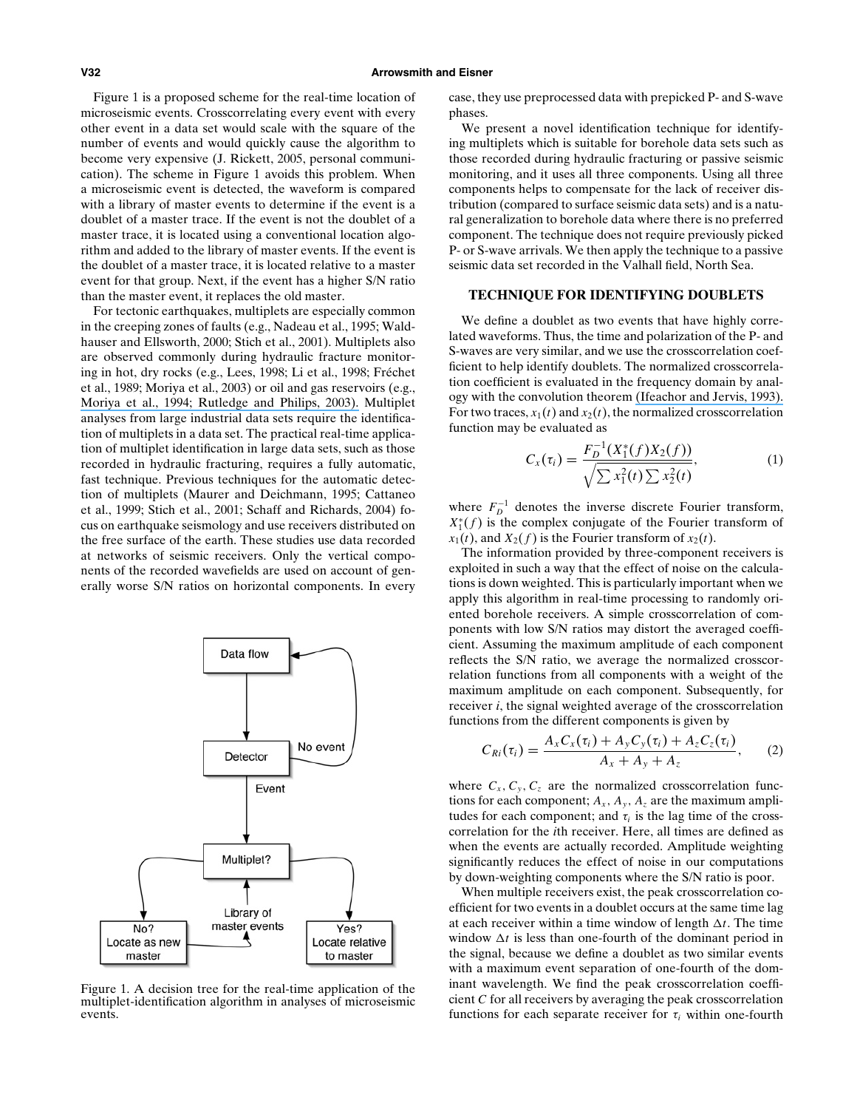Figure 1 is a proposed scheme for the real-time location of microseismic events. Crosscorrelating every event with every other event in a data set would scale with the square of the number of events and would quickly cause the algorithm to become very expensive (J. Rickett, 2005, personal communication). The scheme in Figure 1 avoids this problem. When a microseismic event is detected, the waveform is compared with a library of master events to determine if the event is a doublet of a master trace. If the event is not the doublet of a master trace, it is located using a conventional location algorithm and added to the library of master events. If the event is the doublet of a master trace, it is located relative to a master event for that group. Next, if the event has a higher S/N ratio than the master event, it replaces the old master.

For tectonic earthquakes, multiplets are especially common in the creeping zones of faults (e.g., Nadeau et al., 1995; Waldhauser and Ellsworth, 2000; Stich et al., 2001). Multiplets also are observed commonly during hydraulic fracture monitoring in hot, dry rocks (e.g., Lees, 1998; Li et al., 1998; Frechet ´ et al., 1989; Moriya et al., 2003) or oil and gas reservoirs (e.g., [Moriya et al., 1994; Rutledge and Philips, 2003\).](https://www.researchgate.net/publication/228872212_Hydraulic_stimulation_of_natural_fractures_as_revealed_by_induced_microearthquakes_Carthage_Cotton_Valley_Gas_Field_East_Texas?el=1_x_8&enrichId=rgreq-598d5a20-6643-455d-b644-1e96fb0f399f&enrichSource=Y292ZXJQYWdlOzI0OTg2NTk4ODtBUzoxMDIyNzEwNjA4MDc2OTJAMTQwMTM5NDcyOTg5Mg==) Multiplet analyses from large industrial data sets require the identification of multiplets in a data set. The practical real-time application of multiplet identification in large data sets, such as those recorded in hydraulic fracturing, requires a fully automatic, fast technique. Previous techniques for the automatic detection of multiplets (Maurer and Deichmann, 1995; Cattaneo et al., 1999; Stich et al., 2001; Schaff and Richards, 2004) focus on earthquake seismology and use receivers distributed on the free surface of the earth. These studies use data recorded at networks of seismic receivers. Only the vertical components of the recorded wavefields are used on account of generally worse S/N ratios on horizontal components. In every



Figure 1. A decision tree for the real-time application of the multiplet-identification algorithm in analyses of microseismic events.

case, they use preprocessed data with prepicked P- and S-wave phases.

We present a novel identification technique for identifying multiplets which is suitable for borehole data sets such as those recorded during hydraulic fracturing or passive seismic monitoring, and it uses all three components. Using all three components helps to compensate for the lack of receiver distribution (compared to surface seismic data sets) and is a natural generalization to borehole data where there is no preferred component. The technique does not require previously picked P- or S-wave arrivals. We then apply the technique to a passive seismic data set recorded in the Valhall field, North Sea.

### **TECHNIQUE FOR IDENTIFYING DOUBLETS**

We define a doublet as two events that have highly correlated waveforms. Thus, the time and polarization of the P- and S-waves are very similar, and we use the crosscorrelation coefficient to help identify doublets. The normalized crosscorrelation coefficient is evaluated in the frequency domain by analogy with the convolution theorem [\(Ifeachor and Jervis, 1993\).](https://www.researchgate.net/publication/51997205_Digital_Signal_Processing_A_Practical_Approach?el=1_x_8&enrichId=rgreq-598d5a20-6643-455d-b644-1e96fb0f399f&enrichSource=Y292ZXJQYWdlOzI0OTg2NTk4ODtBUzoxMDIyNzEwNjA4MDc2OTJAMTQwMTM5NDcyOTg5Mg==) For two traces,  $x_1(t)$  and  $x_2(t)$ , the normalized crosscorrelation function may be evaluated as

$$
C_x(\tau_i) = \frac{F_D^{-1}(X_1^*(f)X_2(f))}{\sqrt{\sum x_1^2(t)\sum x_2^2(t)}},\tag{1}
$$

where  $F_D^{-1}$  denotes the inverse discrete Fourier transform,  $X_1^*(f)$  is the complex conjugate of the Fourier transform of  $x_1(t)$ , and  $X_2(f)$  is the Fourier transform of  $x_2(t)$ .

The information provided by three-component receivers is exploited in such a way that the effect of noise on the calculations is down weighted. This is particularly important when we apply this algorithm in real-time processing to randomly oriented borehole receivers. A simple crosscorrelation of components with low S/N ratios may distort the averaged coefficient. Assuming the maximum amplitude of each component reflects the S/N ratio, we average the normalized crosscorrelation functions from all components with a weight of the maximum amplitude on each component. Subsequently, for receiver *i*, the signal weighted average of the crosscorrelation functions from the different components is given by

$$
C_{Ri}(\tau_i) = \frac{A_x C_x(\tau_i) + A_y C_y(\tau_i) + A_z C_z(\tau_i)}{A_x + A_y + A_z},
$$
 (2)

where  $C_x$ ,  $C_y$ ,  $C_z$  are the normalized crosscorrelation functions for each component;  $A_x$ ,  $A_y$ ,  $A_z$  are the maximum amplitudes for each component; and  $\tau_i$  is the lag time of the crosscorrelation for the *i*th receiver. Here, all times are defined as when the events are actually recorded. Amplitude weighting significantly reduces the effect of noise in our computations by down-weighting components where the S/N ratio is poor.

When multiple receivers exist, the peak crosscorrelation coefficient for two events in a doublet occurs at the same time lag at each receiver within a time window of length  $\Delta t$ . The time window  $\Delta t$  is less than one-fourth of the dominant period in the signal, because we define a doublet as two similar events with a maximum event separation of one-fourth of the dominant wavelength. We find the peak crosscorrelation coefficient *C* for all receivers by averaging the peak crosscorrelation functions for each separate receiver for  $\tau$ <sub>i</sub> within one-fourth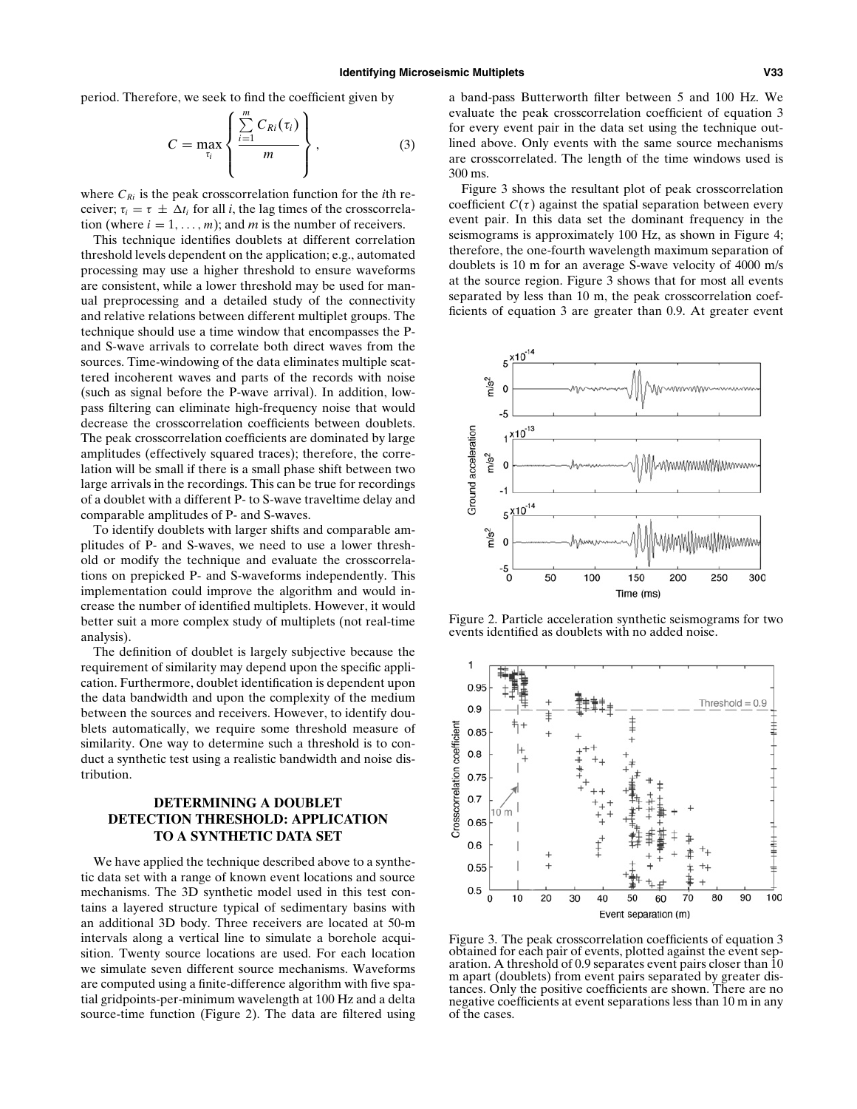period. Therefore, we seek to find the coefficient given by

$$
C = \max_{\tau_i} \left\{ \frac{\sum\limits_{i=1}^m C_{Ri}(\tau_i)}{m} \right\},\tag{3}
$$

where  $C_{Ri}$  is the peak crosscorrelation function for the *i*th receiver;  $\tau_i = \tau \pm \Delta t_i$  for all *i*, the lag times of the crosscorrelation (where  $i = 1, \ldots, m$ ); and *m* is the number of receivers.

This technique identifies doublets at different correlation threshold levels dependent on the application; e.g., automated processing may use a higher threshold to ensure waveforms are consistent, while a lower threshold may be used for manual preprocessing and a detailed study of the connectivity and relative relations between different multiplet groups. The technique should use a time window that encompasses the Pand S-wave arrivals to correlate both direct waves from the sources. Time-windowing of the data eliminates multiple scattered incoherent waves and parts of the records with noise (such as signal before the P-wave arrival). In addition, lowpass filtering can eliminate high-frequency noise that would decrease the crosscorrelation coefficients between doublets. The peak crosscorrelation coefficients are dominated by large amplitudes (effectively squared traces); therefore, the correlation will be small if there is a small phase shift between two large arrivals in the recordings. This can be true for recordings of a doublet with a different P- to S-wave traveltime delay and comparable amplitudes of P- and S-waves.

To identify doublets with larger shifts and comparable amplitudes of P- and S-waves, we need to use a lower threshold or modify the technique and evaluate the crosscorrelations on prepicked P- and S-waveforms independently. This implementation could improve the algorithm and would increase the number of identified multiplets. However, it would better suit a more complex study of multiplets (not real-time analysis).

The definition of doublet is largely subjective because the requirement of similarity may depend upon the specific application. Furthermore, doublet identification is dependent upon the data bandwidth and upon the complexity of the medium between the sources and receivers. However, to identify doublets automatically, we require some threshold measure of similarity. One way to determine such a threshold is to conduct a synthetic test using a realistic bandwidth and noise distribution.

# **DETERMINING A DOUBLET DETECTION THRESHOLD: APPLICATION TO A SYNTHETIC DATA SET**

We have applied the technique described above to a synthetic data set with a range of known event locations and source mechanisms. The 3D synthetic model used in this test contains a layered structure typical of sedimentary basins with an additional 3D body. Three receivers are located at 50-m intervals along a vertical line to simulate a borehole acquisition. Twenty source locations are used. For each location we simulate seven different source mechanisms. Waveforms are computed using a finite-difference algorithm with five spatial gridpoints-per-minimum wavelength at 100 Hz and a delta source-time function (Figure 2). The data are filtered using a band-pass Butterworth filter between 5 and 100 Hz. We evaluate the peak crosscorrelation coefficient of equation 3 for every event pair in the data set using the technique outlined above. Only events with the same source mechanisms are crosscorrelated. The length of the time windows used is 300 ms.

Figure 3 shows the resultant plot of peak crosscorrelation coefficient  $C(\tau)$  against the spatial separation between every event pair. In this data set the dominant frequency in the seismograms is approximately 100 Hz, as shown in Figure 4; therefore, the one-fourth wavelength maximum separation of doublets is 10 m for an average S-wave velocity of 4000 m/s at the source region. Figure 3 shows that for most all events separated by less than 10 m, the peak crosscorrelation coefficients of equation 3 are greater than 0.9. At greater event



Figure 2. Particle acceleration synthetic seismograms for two events identified as doublets with no added noise.



Figure 3. The peak crosscorrelation coefficients of equation 3 obtained for each pair of events, plotted against the event separation. A threshold of 0.9 separates event pairs closer than 10 m apart (doublets) from event pairs separated by greater distances. Only the positive coefficients are shown. There are no negative coefficients at event separations less than 10 m in any of the cases.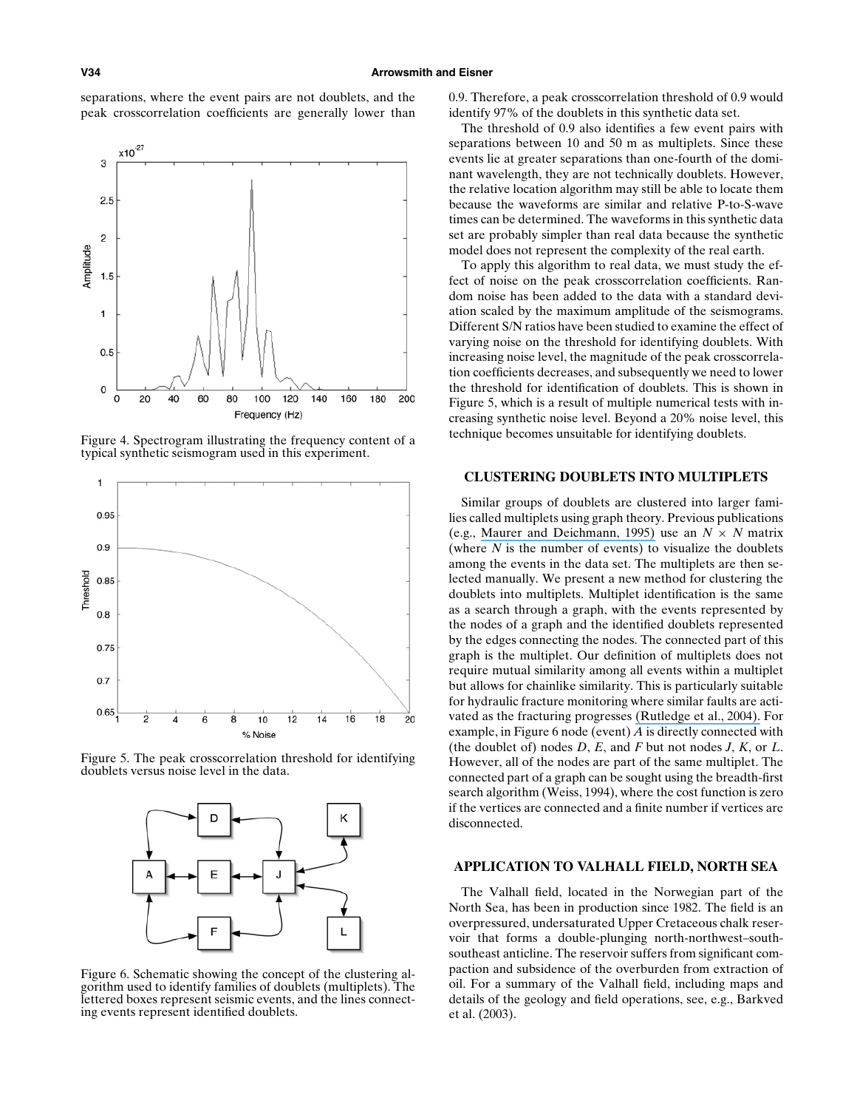separations, where the event pairs are not doublets, and the peak crosscorrelation coefficients are generally lower than



Figure 4. Spectrogram illustrating the frequency content of a typical synthetic seismogram used in this experiment.



Figure 5. The peak crosscorrelation threshold for identifying doublets versus noise level in the data.



Figure 6. Schematic showing the concept of the clustering algorithm used to identify families of doublets (multiplets). The lettered boxes represent seismic events, and the lines connecting events represent identified doublets.

0.9. Therefore, a peak crosscorrelation threshold of 0.9 would identify 97% of the doublets in this synthetic data set.

The threshold of 0.9 also identifies a few event pairs with separations between 10 and 50 m as multiplets. Since these events lie at greater separations than one-fourth of the dominant wavelength, they are not technically doublets. However, the relative location algorithm may still be able to locate them because the waveforms are similar and relative P-to-S-wave times can be determined. The waveforms in this synthetic data set are probably simpler than real data because the synthetic model does not represent the complexity of the real earth.

To apply this algorithm to real data, we must study the effect of noise on the peak crosscorrelation coefficients. Random noise has been added to the data with a standard deviation scaled by the maximum amplitude of the seismograms. Different S/N ratios have been studied to examine the effect of varying noise on the threshold for identifying doublets. With increasing noise level, the magnitude of the peak crosscorrelation coefficients decreases, and subsequently we need to lower the threshold for identification of doublets. This is shown in Figure 5, which is a result of multiple numerical tests with increasing synthetic noise level. Beyond a 20% noise level, this technique becomes unsuitable for identifying doublets.

# **CLUSTERING DOUBLETS INTO MULTIPLETS**

Similar groups of doublets are clustered into larger families called multiplets using graph theory. Previous publications (e.g., [Maurer and Deichmann, 1995\)](https://www.researchgate.net/publication/229618573_Microearthquake_cluster_detection_on_waveform_similarities_with_an_application_to_the_western_Swiss_Alps?el=1_x_8&enrichId=rgreq-598d5a20-6643-455d-b644-1e96fb0f399f&enrichSource=Y292ZXJQYWdlOzI0OTg2NTk4ODtBUzoxMDIyNzEwNjA4MDc2OTJAMTQwMTM5NDcyOTg5Mg==) use an  $N \times N$  matrix (where  $N$  is the number of events) to visualize the doublets among the events in the data set. The multiplets are then selected manually. We present a new method for clustering the doublets into multiplets. Multiplet identification is the same as a search through a graph, with the events represented by the nodes of a graph and the identified doublets represented by the edges connecting the nodes. The connected part of this graph is the multiplet. Our definition of multiplets does not require mutual similarity among all events within a multiplet but allows for chainlike similarity. This is particularly suitable for hydraulic fracture monitoring where similar faults are activated as the fracturing progresses [\(Rutledge et al., 2004\).](https://www.researchgate.net/publication/228855977_Faulting_Induced_by_Forced_Fluid_Injection_and_Fluid_Flow_Forced_by_Faulting_An_Interpretation_of_Hydraulic-Fracture_Microseismicity_Carthage_Cotton_Valley_Gas_Field_Texas?el=1_x_8&enrichId=rgreq-598d5a20-6643-455d-b644-1e96fb0f399f&enrichSource=Y292ZXJQYWdlOzI0OTg2NTk4ODtBUzoxMDIyNzEwNjA4MDc2OTJAMTQwMTM5NDcyOTg5Mg==) For example, in Figure 6 node (event) *A* is directly connected with (the doublet of) nodes *D*, *E*, and *F* but not nodes *J*, *K*, or *L*. However, all of the nodes are part of the same multiplet. The connected part of a graph can be sought using the breadth-first search algorithm (Weiss, 1994), where the cost function is zero if the vertices are connected and a finite number if vertices are disconnected.

#### **APPLICATION TO VALHALL FIELD, NORTH SEA**

The Valhall field, located in the Norwegian part of the North Sea, has been in production since 1982. The field is an overpressured, undersaturated Upper Cretaceous chalk reservoir that forms a double-plunging north-northwest–southsoutheast anticline. The reservoir suffers from significant compaction and subsidence of the overburden from extraction of oil. For a summary of the Valhall field, including maps and details of the geology and field operations, see, e.g., Barkved et al. (2003).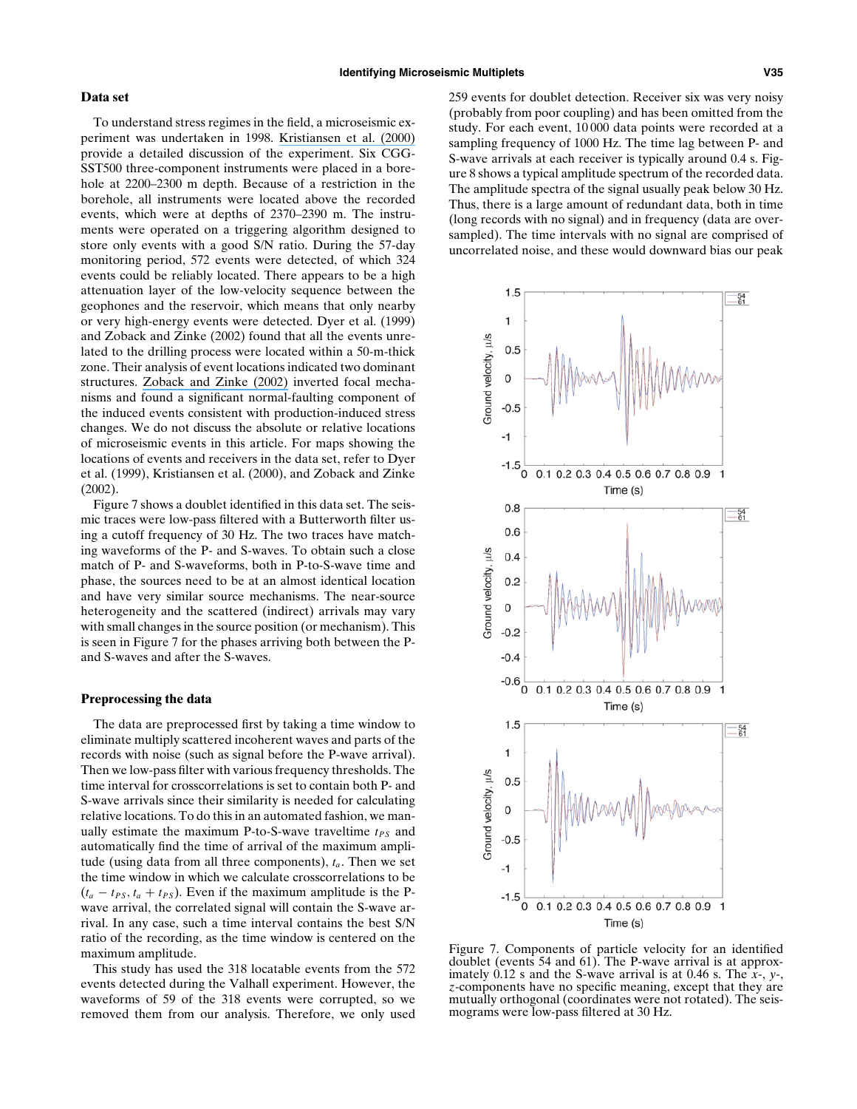### **Data set**

To understand stress regimes in the field, a microseismic experiment was undertaken in 1998. [Kristiansen et al. \(2000\)](https://www.researchgate.net/publication/241783377_Use_of_Passive_Seismic_Monitoring_in_Well_and_Casing_Design_in_the_Compacting_and_Subsiding_Valhall_Field_North_Sea?el=1_x_8&enrichId=rgreq-598d5a20-6643-455d-b644-1e96fb0f399f&enrichSource=Y292ZXJQYWdlOzI0OTg2NTk4ODtBUzoxMDIyNzEwNjA4MDc2OTJAMTQwMTM5NDcyOTg5Mg==) provide a detailed discussion of the experiment. Six CGG-SST500 three-component instruments were placed in a borehole at 2200–2300 m depth. Because of a restriction in the borehole, all instruments were located above the recorded events, which were at depths of 2370–2390 m. The instruments were operated on a triggering algorithm designed to store only events with a good S/N ratio. During the 57-day monitoring period, 572 events were detected, of which 324 events could be reliably located. There appears to be a high attenuation layer of the low-velocity sequence between the geophones and the reservoir, which means that only nearby or very high-energy events were detected. Dyer et al. (1999) and Zoback and Zinke (2002) found that all the events unrelated to the drilling process were located within a 50-m-thick zone. Their analysis of event locations indicated two dominant structures. [Zoback and Zinke \(2002\)](https://www.researchgate.net/publication/225385517_Production-induced_Normal_Faulting_in_the_Valhall_and_Ekofisk_Oil_Fields?el=1_x_8&enrichId=rgreq-598d5a20-6643-455d-b644-1e96fb0f399f&enrichSource=Y292ZXJQYWdlOzI0OTg2NTk4ODtBUzoxMDIyNzEwNjA4MDc2OTJAMTQwMTM5NDcyOTg5Mg==) inverted focal mechanisms and found a significant normal-faulting component of the induced events consistent with production-induced stress changes. We do not discuss the absolute or relative locations of microseismic events in this article. For maps showing the locations of events and receivers in the data set, refer to Dyer et al. (1999), Kristiansen et al. (2000), and Zoback and Zinke (2002).

Figure 7 shows a doublet identified in this data set. The seismic traces were low-pass filtered with a Butterworth filter using a cutoff frequency of 30 Hz. The two traces have matching waveforms of the P- and S-waves. To obtain such a close match of P- and S-waveforms, both in P-to-S-wave time and phase, the sources need to be at an almost identical location and have very similar source mechanisms. The near-source heterogeneity and the scattered (indirect) arrivals may vary with small changes in the source position (or mechanism). This is seen in Figure 7 for the phases arriving both between the Pand S-waves and after the S-waves.

## **Preprocessing the data**

The data are preprocessed first by taking a time window to eliminate multiply scattered incoherent waves and parts of the records with noise (such as signal before the P-wave arrival). Then we low-pass filter with various frequency thresholds. The time interval for crosscorrelations is set to contain both P- and S-wave arrivals since their similarity is needed for calculating relative locations. To do this in an automated fashion, we manually estimate the maximum P-to-S-wave traveltime  $t_{PS}$  and automatically find the time of arrival of the maximum amplitude (using data from all three components),  $t_a$ . Then we set the time window in which we calculate crosscorrelations to be  $(t_a - t_{PS}, t_a + t_{PS})$ . Even if the maximum amplitude is the Pwave arrival, the correlated signal will contain the S-wave arrival. In any case, such a time interval contains the best S/N ratio of the recording, as the time window is centered on the maximum amplitude.

This study has used the 318 locatable events from the 572 events detected during the Valhall experiment. However, the waveforms of 59 of the 318 events were corrupted, so we removed them from our analysis. Therefore, we only used 259 events for doublet detection. Receiver six was very noisy (probably from poor coupling) and has been omitted from the study. For each event, 10 000 data points were recorded at a sampling frequency of 1000 Hz. The time lag between P- and S-wave arrivals at each receiver is typically around 0.4 s. Figure 8 shows a typical amplitude spectrum of the recorded data. The amplitude spectra of the signal usually peak below 30 Hz. Thus, there is a large amount of redundant data, both in time (long records with no signal) and in frequency (data are oversampled). The time intervals with no signal are comprised of uncorrelated noise, and these would downward bias our peak



Figure 7. Components of particle velocity for an identified doublet (events 54 and 61). The P-wave arrival is at approximately 0.12 s and the S-wave arrival is at 0.46 s. The *x*-, *y*-, *z*-components have no specific meaning, except that they are mutually orthogonal (coordinates were not rotated). The seismograms were low-pass filtered at 30 Hz.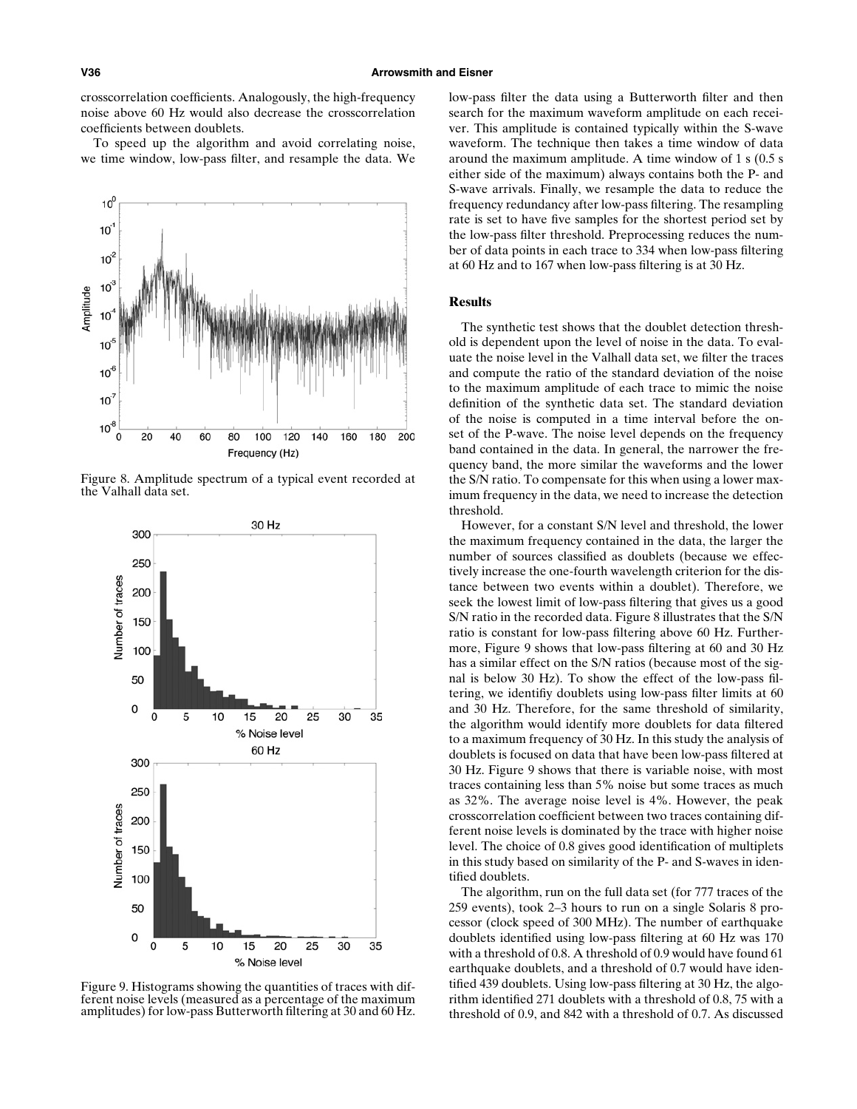crosscorrelation coefficients. Analogously, the high-frequency noise above 60 Hz would also decrease the crosscorrelation coefficients between doublets.

To speed up the algorithm and avoid correlating noise, we time window, low-pass filter, and resample the data. We



Figure 8. Amplitude spectrum of a typical event recorded at the Valhall data set.



Figure 9. Histograms showing the quantities of traces with different noise levels (measured as a percentage of the maximum amplitudes) for low-pass Butterworth filtering at 30 and 60 Hz.

low-pass filter the data using a Butterworth filter and then search for the maximum waveform amplitude on each receiver. This amplitude is contained typically within the S-wave waveform. The technique then takes a time window of data around the maximum amplitude. A time window of 1 s (0.5 s either side of the maximum) always contains both the P- and S-wave arrivals. Finally, we resample the data to reduce the frequency redundancy after low-pass filtering. The resampling rate is set to have five samples for the shortest period set by the low-pass filter threshold. Preprocessing reduces the number of data points in each trace to 334 when low-pass filtering at 60 Hz and to 167 when low-pass filtering is at 30 Hz.

# **Results**

The synthetic test shows that the doublet detection threshold is dependent upon the level of noise in the data. To evaluate the noise level in the Valhall data set, we filter the traces and compute the ratio of the standard deviation of the noise to the maximum amplitude of each trace to mimic the noise definition of the synthetic data set. The standard deviation of the noise is computed in a time interval before the onset of the P-wave. The noise level depends on the frequency band contained in the data. In general, the narrower the frequency band, the more similar the waveforms and the lower the S/N ratio. To compensate for this when using a lower maximum frequency in the data, we need to increase the detection threshold.

However, for a constant S/N level and threshold, the lower the maximum frequency contained in the data, the larger the number of sources classified as doublets (because we effectively increase the one-fourth wavelength criterion for the distance between two events within a doublet). Therefore, we seek the lowest limit of low-pass filtering that gives us a good S/N ratio in the recorded data. Figure 8 illustrates that the S/N ratio is constant for low-pass filtering above 60 Hz. Furthermore, Figure 9 shows that low-pass filtering at 60 and 30 Hz has a similar effect on the S/N ratios (because most of the signal is below 30 Hz). To show the effect of the low-pass filtering, we identifiy doublets using low-pass filter limits at 60 and 30 Hz. Therefore, for the same threshold of similarity, the algorithm would identify more doublets for data filtered to a maximum frequency of 30 Hz. In this study the analysis of doublets is focused on data that have been low-pass filtered at 30 Hz. Figure 9 shows that there is variable noise, with most traces containing less than 5% noise but some traces as much as 32%. The average noise level is 4%. However, the peak crosscorrelation coefficient between two traces containing different noise levels is dominated by the trace with higher noise level. The choice of 0.8 gives good identification of multiplets in this study based on similarity of the P- and S-waves in identified doublets.

The algorithm, run on the full data set (for 777 traces of the 259 events), took 2–3 hours to run on a single Solaris 8 processor (clock speed of 300 MHz). The number of earthquake doublets identified using low-pass filtering at 60 Hz was 170 with a threshold of 0.8. A threshold of 0.9 would have found 61 earthquake doublets, and a threshold of 0.7 would have identified 439 doublets. Using low-pass filtering at 30 Hz, the algorithm identified 271 doublets with a threshold of 0.8, 75 with a threshold of 0.9, and 842 with a threshold of 0.7. As discussed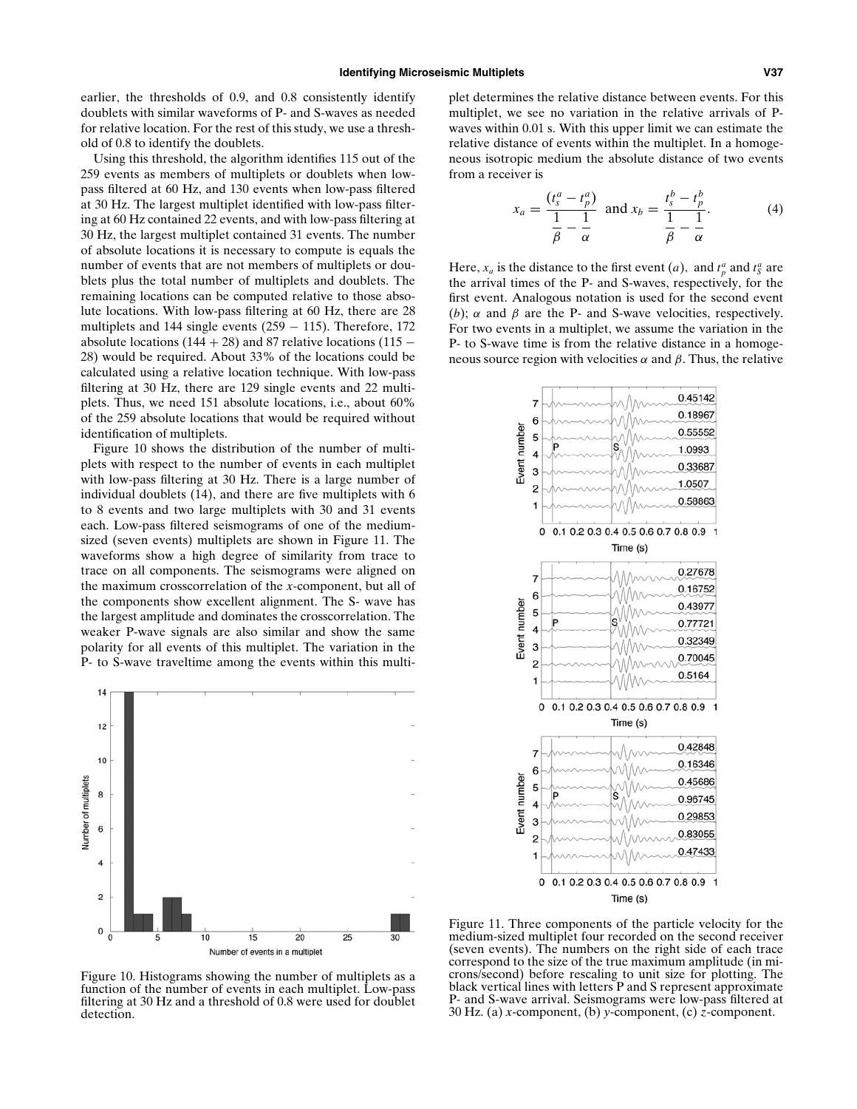earlier, the thresholds of 0.9, and 0.8 consistently identify doublets with similar waveforms of P- and S-waves as needed for relative location. For the rest of this study, we use a threshold of 0.8 to identify the doublets.

Using this threshold, the algorithm identifies 115 out of the 259 events as members of multiplets or doublets when lowpass filtered at 60 Hz, and 130 events when low-pass filtered at 30 Hz. The largest multiplet identified with low-pass filtering at 60 Hz contained 22 events, and with low-pass filtering at 30 Hz, the largest multiplet contained 31 events. The number of absolute locations it is necessary to compute is equals the number of events that are not members of multiplets or doublets plus the total number of multiplets and doublets. The remaining locations can be computed relative to those absolute locations. With low-pass filtering at 60 Hz, there are 28 multiplets and 144 single events  $(259 - 115)$ . Therefore, 172 absolute locations (144 + 28) and 87 relative locations (115  $-$ 28) would be required. About 33% of the locations could be calculated using a relative location technique. With low-pass filtering at 30 Hz, there are 129 single events and 22 multiplets. Thus, we need 151 absolute locations, i.e., about 60% of the 259 absolute locations that would be required without identification of multiplets.

Figure 10 shows the distribution of the number of multiplets with respect to the number of events in each multiplet with low-pass filtering at 30 Hz. There is a large number of individual doublets (14), and there are five multiplets with 6 to 8 events and two large multiplets with 30 and 31 events each. Low-pass filtered seismograms of one of the mediumsized (seven events) multiplets are shown in Figure 11. The waveforms show a high degree of similarity from trace to trace on all components. The seismograms were aligned on the maximum crosscorrelation of the *x*-component, but all of the components show excellent alignment. The S- wave has the largest amplitude and dominates the crosscorrelation. The weaker P-wave signals are also similar and show the same polarity for all events of this multiplet. The variation in the P- to S-wave traveltime among the events within this multi-



Figure 10. Histograms showing the number of multiplets as a function of the number of events in each multiplet. Low-pass filtering at 30 Hz and a threshold of 0.8 were used for doublet detection.

plet determines the relative distance between events. For this multiplet, we see no variation in the relative arrivals of Pwaves within 0.01 s. With this upper limit we can estimate the relative distance of events within the multiplet. In a homogeneous isotropic medium the absolute distance of two events from a receiver is

$$
x_a = \frac{(t_s^a - t_p^a)}{\frac{1}{\beta} - \frac{1}{\alpha}} \text{ and } x_b = \frac{t_s^b - t_p^b}{\frac{1}{\beta} - \frac{1}{\alpha}}.
$$
 (4)

Here,  $x_a$  is the distance to the first event (*a*), and  $t_p^a$  and  $t_s^a$  are the arrival times of the P- and S-waves, respectively, for the first event. Analogous notation is used for the second event (*b*);  $\alpha$  and  $\beta$  are the P- and S-wave velocities, respectively. For two events in a multiplet, we assume the variation in the P- to S-wave time is from the relative distance in a homogeneous source region with velocities *α* and *β*. Thus, the relative



Figure 11. Three components of the particle velocity for the medium-sized multiplet four recorded on the second receiver (seven events). The numbers on the right side of each trace correspond to the size of the true maximum amplitude (in microns/second) before rescaling to unit size for plotting. The black vertical lines with letters P and S represent approximate P- and S-wave arrival. Seismograms were low-pass filtered at 30 Hz. (a) *x*-component, (b) *y*-component, (c) *z*-component.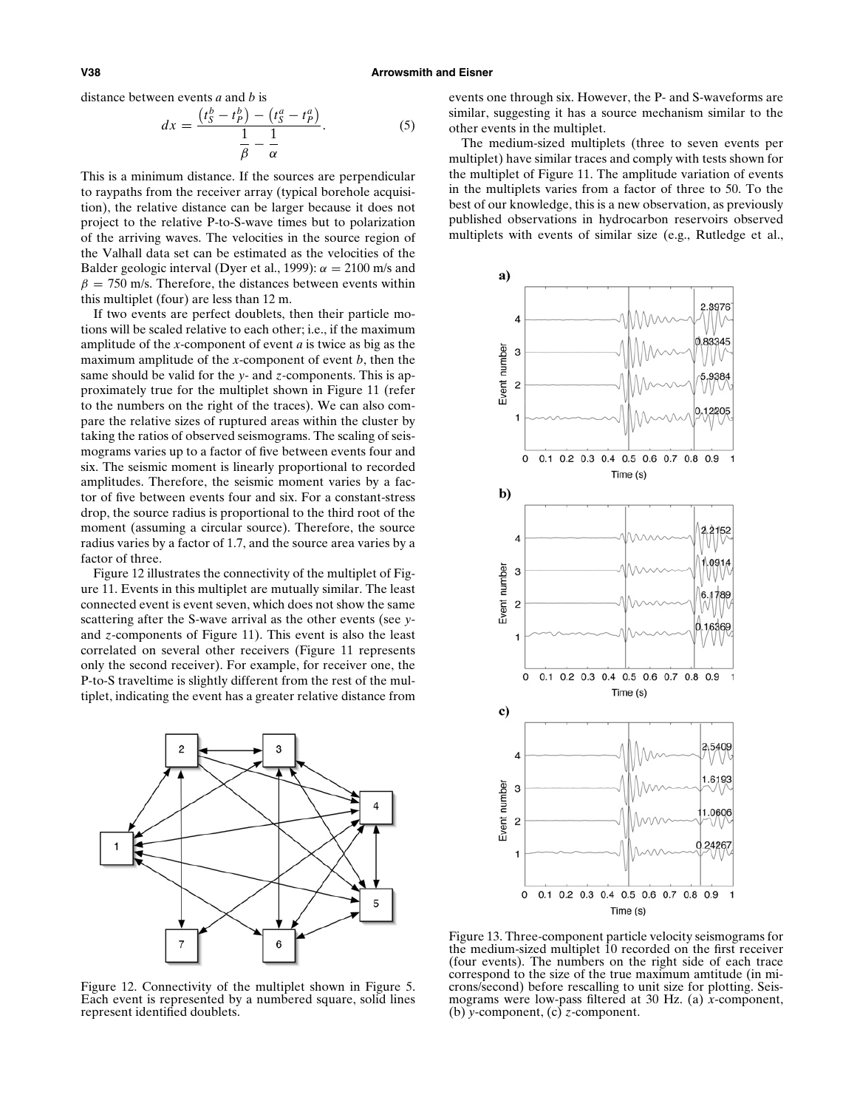distance between events *a* and *b* is

$$
dx = \frac{\left(t_S^b - t_P^b\right) - \left(t_S^a - t_P^a\right)}{\frac{1}{\beta} - \frac{1}{\alpha}}.\tag{5}
$$

This is a minimum distance. If the sources are perpendicular to raypaths from the receiver array (typical borehole acquisition), the relative distance can be larger because it does not project to the relative P-to-S-wave times but to polarization of the arriving waves. The velocities in the source region of the Valhall data set can be estimated as the velocities of the Balder geologic interval (Dyer et al., 1999):  $\alpha = 2100$  m/s and  $\beta$  = 750 m/s. Therefore, the distances between events within this multiplet (four) are less than 12 m.

If two events are perfect doublets, then their particle motions will be scaled relative to each other; i.e., if the maximum amplitude of the *x*-component of event *a* is twice as big as the maximum amplitude of the *x*-component of event *b*, then the same should be valid for the *y*- and *z*-components. This is approximately true for the multiplet shown in Figure 11 (refer to the numbers on the right of the traces). We can also compare the relative sizes of ruptured areas within the cluster by taking the ratios of observed seismograms. The scaling of seismograms varies up to a factor of five between events four and six. The seismic moment is linearly proportional to recorded amplitudes. Therefore, the seismic moment varies by a factor of five between events four and six. For a constant-stress drop, the source radius is proportional to the third root of the moment (assuming a circular source). Therefore, the source radius varies by a factor of 1.7, and the source area varies by a factor of three.

Figure 12 illustrates the connectivity of the multiplet of Figure 11. Events in this multiplet are mutually similar. The least connected event is event seven, which does not show the same scattering after the S-wave arrival as the other events (see *y*and *z*-components of Figure 11). This event is also the least correlated on several other receivers (Figure 11 represents only the second receiver). For example, for receiver one, the P-to-S traveltime is slightly different from the rest of the multiplet, indicating the event has a greater relative distance from



Figure 12. Connectivity of the multiplet shown in Figure 5. Each event is represented by a numbered square, solid lines represent identified doublets.

events one through six. However, the P- and S-waveforms are similar, suggesting it has a source mechanism similar to the other events in the multiplet.

The medium-sized multiplets (three to seven events per multiplet) have similar traces and comply with tests shown for the multiplet of Figure 11. The amplitude variation of events in the multiplets varies from a factor of three to 50. To the best of our knowledge, this is a new observation, as previously published observations in hydrocarbon reservoirs observed multiplets with events of similar size (e.g., Rutledge et al.,



Figure 13. Three-component particle velocity seismograms for the medium-sized multiplet 10 recorded on the first receiver (four events). The numbers on the right side of each trace correspond to the size of the true maximum amtitude (in microns/second) before rescalling to unit size for plotting. Seismograms were low-pass filtered at 30 Hz. (a) *x*-component, (b) *y*-component, (c) *z*-component.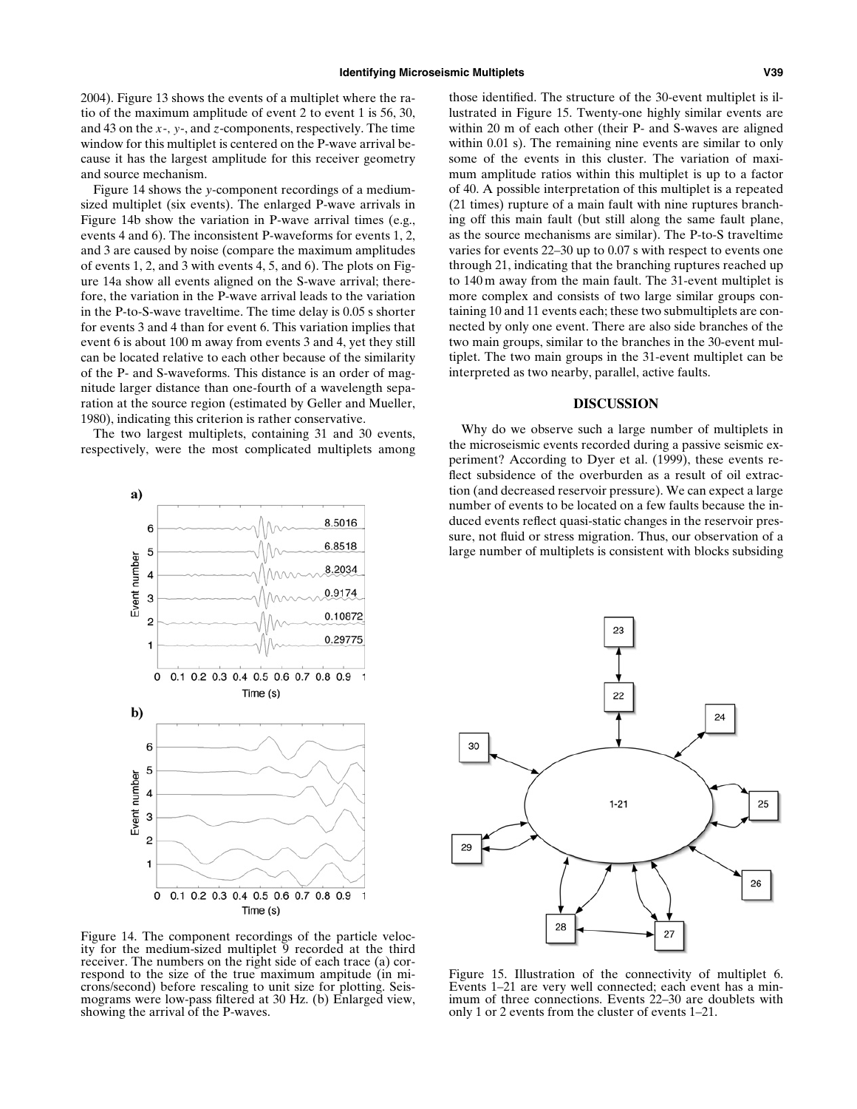2004). Figure 13 shows the events of a multiplet where the ratio of the maximum amplitude of event 2 to event 1 is 56, 30, and 43 on the *x*-*, y*-, and *z*-components, respectively. The time window for this multiplet is centered on the P-wave arrival because it has the largest amplitude for this receiver geometry and source mechanism.

Figure 14 shows the *y*-component recordings of a mediumsized multiplet (six events). The enlarged P-wave arrivals in Figure 14b show the variation in P-wave arrival times (e.g., events 4 and 6). The inconsistent P-waveforms for events 1, 2, and 3 are caused by noise (compare the maximum amplitudes of events 1, 2, and 3 with events 4, 5, and 6). The plots on Figure 14a show all events aligned on the S-wave arrival; therefore, the variation in the P-wave arrival leads to the variation in the P-to-S-wave traveltime. The time delay is 0.05 s shorter for events 3 and 4 than for event 6. This variation implies that event 6 is about 100 m away from events 3 and 4, yet they still can be located relative to each other because of the similarity of the P- and S-waveforms. This distance is an order of magnitude larger distance than one-fourth of a wavelength separation at the source region (estimated by Geller and Mueller, 1980), indicating this criterion is rather conservative.

The two largest multiplets, containing 31 and 30 events, respectively, were the most complicated multiplets among



Figure 14. The component recordings of the particle velocity for the medium-sized multiplet 9 recorded at the third receiver. The numbers on the right side of each trace (a) correspond to the size of the true maximum ampitude (in microns/second) before rescaling to unit size for plotting. Seismograms were low-pass filtered at 30 Hz. (b) Enlarged view, showing the arrival of the P-waves.

those identified. The structure of the 30-event multiplet is illustrated in Figure 15. Twenty-one highly similar events are within 20 m of each other (their P- and S-waves are aligned within 0.01 s). The remaining nine events are similar to only some of the events in this cluster. The variation of maximum amplitude ratios within this multiplet is up to a factor of 40. A possible interpretation of this multiplet is a repeated (21 times) rupture of a main fault with nine ruptures branching off this main fault (but still along the same fault plane, as the source mechanisms are similar). The P-to-S traveltime varies for events 22–30 up to 0.07 s with respect to events one through 21, indicating that the branching ruptures reached up to 140 m away from the main fault. The 31-event multiplet is more complex and consists of two large similar groups containing 10 and 11 events each; these two submultiplets are connected by only one event. There are also side branches of the two main groups, similar to the branches in the 30-event multiplet. The two main groups in the 31-event multiplet can be interpreted as two nearby, parallel, active faults.

#### **DISCUSSION**

Why do we observe such a large number of multiplets in the microseismic events recorded during a passive seismic experiment? According to Dyer et al. (1999), these events reflect subsidence of the overburden as a result of oil extraction (and decreased reservoir pressure). We can expect a large number of events to be located on a few faults because the induced events reflect quasi-static changes in the reservoir pressure, not fluid or stress migration. Thus, our observation of a large number of multiplets is consistent with blocks subsiding



Figure 15. Illustration of the connectivity of multiplet 6. Events 1–21 are very well connected; each event has a minimum of three connections. Events 22–30 are doublets with only 1 or 2 events from the cluster of events 1–21.